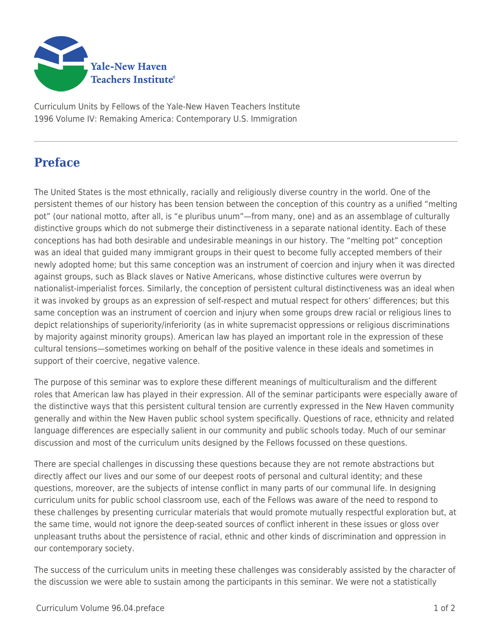

Curriculum Units by Fellows of the Yale-New Haven Teachers Institute 1996 Volume IV: Remaking America: Contemporary U.S. Immigration

## **Preface**

The United States is the most ethnically, racially and religiously diverse country in the world. One of the persistent themes of our history has been tension between the conception of this country as a unified "melting pot" (our national motto, after all, is "e pluribus unum"—from many, one) and as an assemblage of culturally distinctive groups which do not submerge their distinctiveness in a separate national identity. Each of these conceptions has had both desirable and undesirable meanings in our history. The "melting pot" conception was an ideal that guided many immigrant groups in their quest to become fully accepted members of their newly adopted home; but this same conception was an instrument of coercion and injury when it was directed against groups, such as Black slaves or Native Americans, whose distinctive cultures were overrun by nationalist-imperialist forces. Similarly, the conception of persistent cultural distinctiveness was an ideal when it was invoked by groups as an expression of self-respect and mutual respect for others' differences; but this same conception was an instrument of coercion and injury when some groups drew racial or religious lines to depict relationships of superiority/inferiority (as in white supremacist oppressions or religious discriminations by majority against minority groups). American law has played an important role in the expression of these cultural tensions—sometimes working on behalf of the positive valence in these ideals and sometimes in support of their coercive, negative valence.

The purpose of this seminar was to explore these different meanings of multiculturalism and the different roles that American law has played in their expression. All of the seminar participants were especially aware of the distinctive ways that this persistent cultural tension are currently expressed in the New Haven community generally and within the New Haven public school system specifically. Questions of race, ethnicity and related language differences are especially salient in our community and public schools today. Much of our seminar discussion and most of the curriculum units designed by the Fellows focussed on these questions.

There are special challenges in discussing these questions because they are not remote abstractions but directly affect our lives and our some of our deepest roots of personal and cultural identity; and these questions, moreover, are the subjects of intense conflict in many parts of our communal life. In designing curriculum units for public school classroom use, each of the Fellows was aware of the need to respond to these challenges by presenting curricular materials that would promote mutually respectful exploration but, at the same time, would not ignore the deep-seated sources of conflict inherent in these issues or gloss over unpleasant truths about the persistence of racial, ethnic and other kinds of discrimination and oppression in our contemporary society.

The success of the curriculum units in meeting these challenges was considerably assisted by the character of the discussion we were able to sustain among the participants in this seminar. We were not a statistically